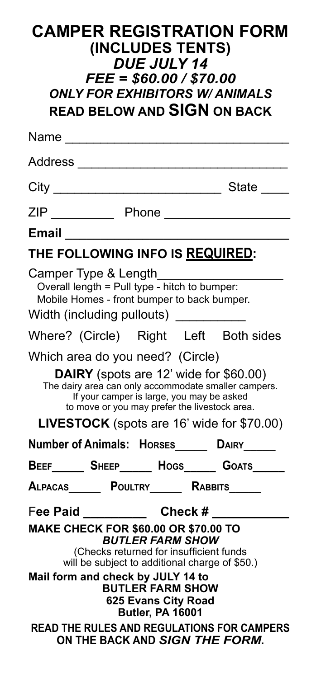| <b>CAMPER REGISTRATION FORM</b><br>(INCLUDES TENTS)<br><b>DUE JULY 14</b><br>$FEE = $60.00 / $70.00$<br><b>ONLY FOR EXHIBITORS W/ ANIMALS</b><br><b>READ BELOW AND SIGN ON BACK</b>                                                                                                                                                                                                                    |  |                                           |                                                                                                                                                 |
|--------------------------------------------------------------------------------------------------------------------------------------------------------------------------------------------------------------------------------------------------------------------------------------------------------------------------------------------------------------------------------------------------------|--|-------------------------------------------|-------------------------------------------------------------------------------------------------------------------------------------------------|
| Name ________________________                                                                                                                                                                                                                                                                                                                                                                          |  |                                           |                                                                                                                                                 |
| Address ___________________                                                                                                                                                                                                                                                                                                                                                                            |  |                                           |                                                                                                                                                 |
|                                                                                                                                                                                                                                                                                                                                                                                                        |  |                                           |                                                                                                                                                 |
|                                                                                                                                                                                                                                                                                                                                                                                                        |  |                                           |                                                                                                                                                 |
|                                                                                                                                                                                                                                                                                                                                                                                                        |  |                                           |                                                                                                                                                 |
| THE FOLLOWING INFO IS REQUIRED:                                                                                                                                                                                                                                                                                                                                                                        |  |                                           |                                                                                                                                                 |
| Camper Type & Length<br>Overall length = Pull type - hitch to bumper:<br>Mobile Homes - front bumper to back bumper.<br>Width (including pullouts) __________                                                                                                                                                                                                                                          |  |                                           |                                                                                                                                                 |
|                                                                                                                                                                                                                                                                                                                                                                                                        |  |                                           | Where? (Circle) Right Left Both sides                                                                                                           |
| Which area do you need? (Circle)                                                                                                                                                                                                                                                                                                                                                                       |  | If your camper is large, you may be asked | DAIRY (spots are 12' wide for \$60.00)<br>The dairy area can only accommodate smaller campers.<br>to move or you may prefer the livestock area. |
| <b>LIVESTOCK</b> (spots are 16' wide for \$70.00)<br>Number of Animals: Horses______ DAIRY_____                                                                                                                                                                                                                                                                                                        |  |                                           |                                                                                                                                                 |
|                                                                                                                                                                                                                                                                                                                                                                                                        |  |                                           | BEEF_______ SHEEP_______ HOGS_______ GOATS______                                                                                                |
|                                                                                                                                                                                                                                                                                                                                                                                                        |  |                                           | Alpacas______ Poultry______ Rabbits_____                                                                                                        |
| Check #<br>Fee Paid _________<br>MAKE CHECK FOR \$60.00 OR \$70.00 TO<br><b>BUTLER FARM SHOW</b><br>(Checks returned for insufficient funds<br>will be subject to additional charge of \$50.)<br>Mail form and check by JULY 14 to<br><b>BUTLER FARM SHOW</b><br>625 Evans City Road<br><b>Butler, PA 16001</b><br><b>READ THE RULES AND REGULATIONS FOR CAMPERS</b><br>ON THE BACK AND SIGN THE FORM. |  |                                           |                                                                                                                                                 |